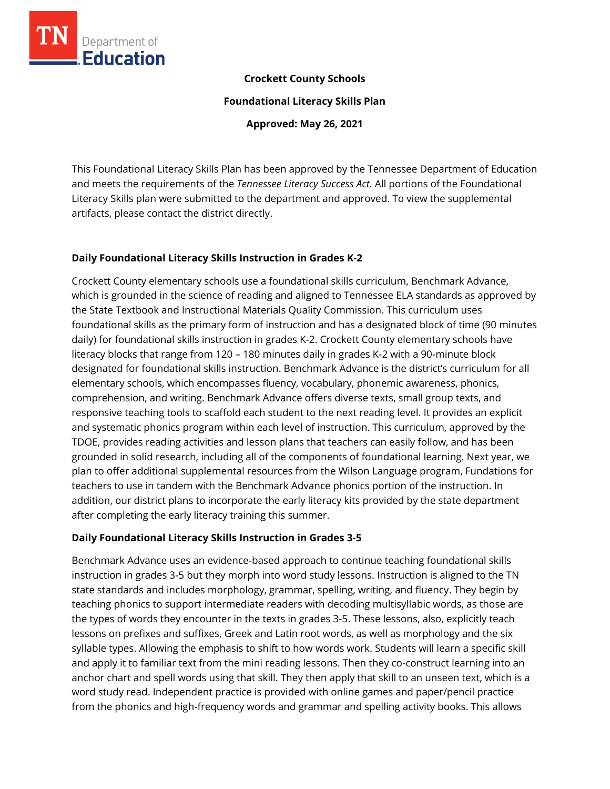

### **Crockett County Schools**

**Foundational Literacy Skills Plan**

**Approved: May 26, 2021**

This Foundational Literacy Skills Plan has been approved by the Tennessee Department of Education and meets the requirements of the *Tennessee Literacy Success Act.* All portions of the Foundational Literacy Skills plan were submitted to the department and approved. To view the supplemental artifacts, please contact the district directly.

# **Daily Foundational Literacy Skills Instruction in Grades K-2**

Crockett County elementary schools use a foundational skills curriculum, Benchmark Advance, which is grounded in the science of reading and aligned to Tennessee ELA standards as approved by the State Textbook and Instructional Materials Quality Commission. This curriculum uses foundational skills as the primary form of instruction and has a designated block of time (90 minutes daily) for foundational skills instruction in grades K-2. Crockett County elementary schools have literacy blocks that range from 120 – 180 minutes daily in grades K-2 with a 90-minute block designated for foundational skills instruction. Benchmark Advance is the district's curriculum for all elementary schools, which encompasses fluency, vocabulary, phonemic awareness, phonics, comprehension, and writing. Benchmark Advance offers diverse texts, small group texts, and responsive teaching tools to scaffold each student to the next reading level. It provides an explicit and systematic phonics program within each level of instruction. This curriculum, approved by the TDOE, provides reading activities and lesson plans that teachers can easily follow, and has been grounded in solid research, including all of the components of foundational learning. Next year, we plan to offer additional supplemental resources from the Wilson Language program, Fundations for teachers to use in tandem with the Benchmark Advance phonics portion of the instruction. In addition, our district plans to incorporate the early literacy kits provided by the state department after completing the early literacy training this summer.

#### **Daily Foundational Literacy Skills Instruction in Grades 3-5**

Benchmark Advance uses an evidence-based approach to continue teaching foundational skills instruction in grades 3-5 but they morph into word study lessons. Instruction is aligned to the TN state standards and includes morphology, grammar, spelling, writing, and fluency. They begin by teaching phonics to support intermediate readers with decoding multisyllabic words, as those are the types of words they encounter in the texts in grades 3-5. These lessons, also, explicitly teach lessons on prefixes and suffixes, Greek and Latin root words, as well as morphology and the six syllable types. Allowing the emphasis to shift to how words work. Students will learn a specific skill and apply it to familiar text from the mini reading lessons. Then they co-construct learning into an anchor chart and spell words using that skill. They then apply that skill to an unseen text, which is a word study read. Independent practice is provided with online games and paper/pencil practice from the phonics and high-frequency words and grammar and spelling activity books. This allows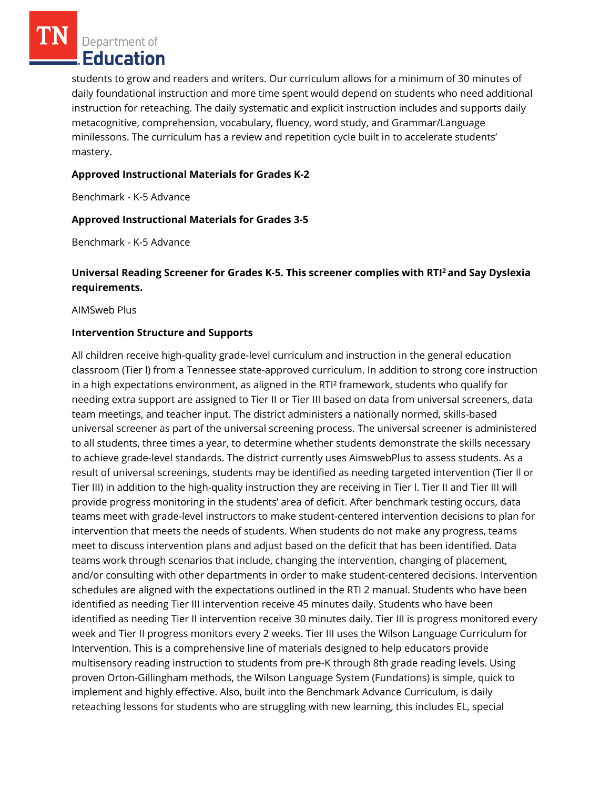Department of Education

students to grow and readers and writers. Our curriculum allows for a minimum of 30 minutes of daily foundational instruction and more time spent would depend on students who need additional instruction for reteaching. The daily systematic and explicit instruction includes and supports daily metacognitive, comprehension, vocabulary, fluency, word study, and Grammar/Language minilessons. The curriculum has a review and repetition cycle built in to accelerate students' mastery.

#### **Approved Instructional Materials for Grades K-2**

Benchmark - K-5 Advance

#### **Approved Instructional Materials for Grades 3-5**

Benchmark - K-5 Advance

### **Universal Reading Screener for Grades K-5. This screener complies with RTI<sup>2</sup>and Say Dyslexia requirements.**

AIMSweb Plus

#### **Intervention Structure and Supports**

All children receive high-quality grade-level curriculum and instruction in the general education classroom (Tier l) from a Tennessee state-approved curriculum. In addition to strong core instruction in a high expectations environment, as aligned in the RTI² framework, students who qualify for needing extra support are assigned to Tier II or Tier III based on data from universal screeners, data team meetings, and teacher input. The district administers a nationally normed, skills-based universal screener as part of the universal screening process. The universal screener is administered to all students, three times a year, to determine whether students demonstrate the skills necessary to achieve grade-level standards. The district currently uses AimswebPlus to assess students. As a result of universal screenings, students may be identified as needing targeted intervention (Tier ll or Tier III) in addition to the high-quality instruction they are receiving in Tier l. Tier II and Tier III will provide progress monitoring in the students' area of deficit. After benchmark testing occurs, data teams meet with grade-level instructors to make student-centered intervention decisions to plan for intervention that meets the needs of students. When students do not make any progress, teams meet to discuss intervention plans and adjust based on the deficit that has been identified. Data teams work through scenarios that include, changing the intervention, changing of placement, and/or consulting with other departments in order to make student-centered decisions. Intervention schedules are aligned with the expectations outlined in the RTI 2 manual. Students who have been identified as needing Tier III intervention receive 45 minutes daily. Students who have been identified as needing Tier II intervention receive 30 minutes daily. Tier III is progress monitored every week and Tier II progress monitors every 2 weeks. Tier III uses the Wilson Language Curriculum for Intervention. This is a comprehensive line of materials designed to help educators provide multisensory reading instruction to students from pre-K through 8th grade reading levels. Using proven Orton-Gillingham methods, the Wilson Language System (Fundations) is simple, quick to implement and highly effective. Also, built into the Benchmark Advance Curriculum, is daily reteaching lessons for students who are struggling with new learning, this includes EL, special